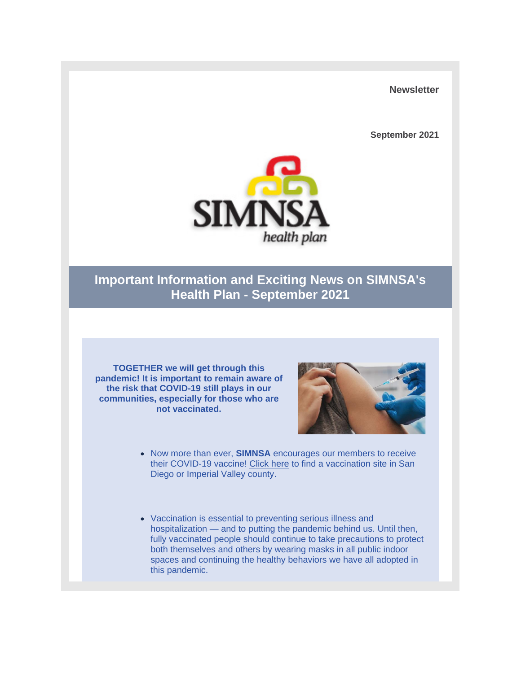**Newsletter**

**September 2021** 



## **Important Information and Exciting News on SIMNSA's Health Plan - September 2021**

**TOGETHER we will get through this pandemic! It is important to remain aware of the risk that COVID-19 still plays in our communities, especially for those who are not vaccinated.** 



- Now more than ever, **SIMNSA** encourages our members to receive their COVID-19 vaccine! [Click here](https://nam10.safelinks.protection.outlook.com/?url=https%3A%2F%2Fr20.rs6.net%2Ftn.jsp%3Ff%3D001sllSDo5ha37Wo5tiR53RZ7T3TDkIDoFtyOLg81xu2LGFavTx7TLOocGeuMB-A9RS4vBQ9tnsDH_H_3-9wuel7F6H5BpM_oEnw4p_AyaNoaxMLrx6rz21ppXoX-XhKhC1GCyNMd_UOsPoF75WPXCs2XBVleI1CuglkTGwWumiPYTxKleo6v8bIFoqYcxTZ-WGRjZU2zDJCZo%3D%26c%3DAywzun1ZR9t1md4hYrQd--PIWBoP-M_39yHLRWVFzfam6AHbiaURug%3D%3D%26ch%3Df-34D7c9c1-H1F12Rr9qKXE-xpd1WIJpv2wkba6tLTNjLUmwpiC6VA%3D%3D&data=04%7C01%7Cjsorman%40dmc-tpa.com%7Cd880bf364cbc43f1d37808d97864ccc2%7C206d821e487a4530bb1f73463b9435ac%7C0%7C0%7C637673196594224011%7CUnknown%7CTWFpbGZsb3d8eyJWIjoiMC4wLjAwMDAiLCJQIjoiV2luMzIiLCJBTiI6Ik1haWwiLCJXVCI6Mn0%3D%7C1000&sdata=luwroC0DX9NuWwVRUrdxenF3TGD9vTlNwQTqRudfKRg%3D&reserved=0) to find a vaccination site in San Diego or Imperial Valley county.
- Vaccination is essential to preventing serious illness and hospitalization — and to putting the pandemic behind us. Until then, fully vaccinated people should continue to take precautions to protect both themselves and others by wearing masks in all public indoor spaces and continuing the healthy behaviors we have all adopted in this pandemic.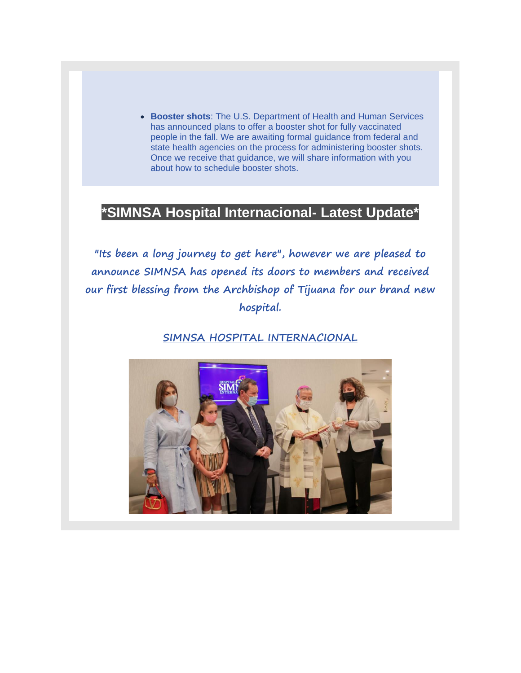• **Booster shots**: The U.S. Department of Health and Human Services has announced plans to offer a booster shot for fully vaccinated people in the fall. We are awaiting formal guidance from federal and state health agencies on the process for administering booster shots. Once we receive that guidance, we will share information with you about how to schedule booster shots.

## **\*SIMNSA Hospital Internacional- Latest Update\***

**"Its been a long journey to get here", however we are pleased to announce SIMNSA has opened its doors to members and received our first blessing from the Archbishop of Tijuana for our brand new hospital.**

**SIMNSA HOSPITAL INTERNACIONAL**